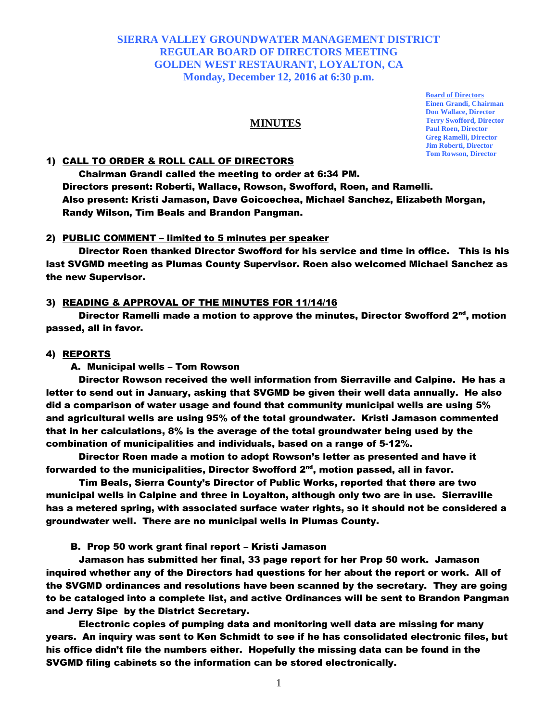### **SIERRA VALLEY GROUNDWATER MANAGEMENT DISTRICT REGULAR BOARD OF DIRECTORS MEETING GOLDEN WEST RESTAURANT, LOYALTON, CA Monday, December 12, 2016 at 6:30 p.m.**

## **MINUTES**

### 1) CALL TO ORDER & ROLL CALL OF DIRECTORS

Chairman Grandi called the meeting to order at 6:34 PM. Directors present: Roberti, Wallace, Rowson, Swofford, Roen, and Ramelli. Also present: Kristi Jamason, Dave Goicoechea, Michael Sanchez, Elizabeth Morgan, Randy Wilson, Tim Beals and Brandon Pangman.

#### 2) PUBLIC COMMENT – limited to 5 minutes per speaker

Director Roen thanked Director Swofford for his service and time in office. This is his last SVGMD meeting as Plumas County Supervisor. Roen also welcomed Michael Sanchez as the new Supervisor.

#### 3) READING & APPROVAL OF THE MINUTES FOR 11/14/16

Director Ramelli made a motion to approve the minutes, Director Swofford  $2<sup>nd</sup>$ , motion passed, all in favor.

#### 4) REPORTS

A. Municipal wells – Tom Rowson

Director Rowson received the well information from Sierraville and Calpine. He has a letter to send out in January, asking that SVGMD be given their well data annually. He also did a comparison of water usage and found that community municipal wells are using 5% and agricultural wells are using 95% of the total groundwater. Kristi Jamason commented that in her calculations, 8% is the average of the total groundwater being used by the combination of municipalities and individuals, based on a range of 5-12%.

Director Roen made a motion to adopt Rowson's letter as presented and have it forwarded to the municipalities, Director Swofford 2nd, motion passed, all in favor.

Tim Beals, Sierra County's Director of Public Works, reported that there are two municipal wells in Calpine and three in Loyalton, although only two are in use. Sierraville has a metered spring, with associated surface water rights, so it should not be considered a groundwater well. There are no municipal wells in Plumas County.

B. Prop 50 work grant final report – Kristi Jamason

Jamason has submitted her final, 33 page report for her Prop 50 work. Jamason inquired whether any of the Directors had questions for her about the report or work. All of the SVGMD ordinances and resolutions have been scanned by the secretary. They are going to be cataloged into a complete list, and active Ordinances will be sent to Brandon Pangman and Jerry Sipe by the District Secretary.

Electronic copies of pumping data and monitoring well data are missing for many years. An inquiry was sent to Ken Schmidt to see if he has consolidated electronic files, but his office didn't file the numbers either. Hopefully the missing data can be found in the SVGMD filing cabinets so the information can be stored electronically.

**Board of Directors Einen Grandi, Chairman Don Wallace, Director Terry Swofford, Director Paul Roen, Director Greg Ramelli, Director Jim Roberti, Director Tom Rowson, Director**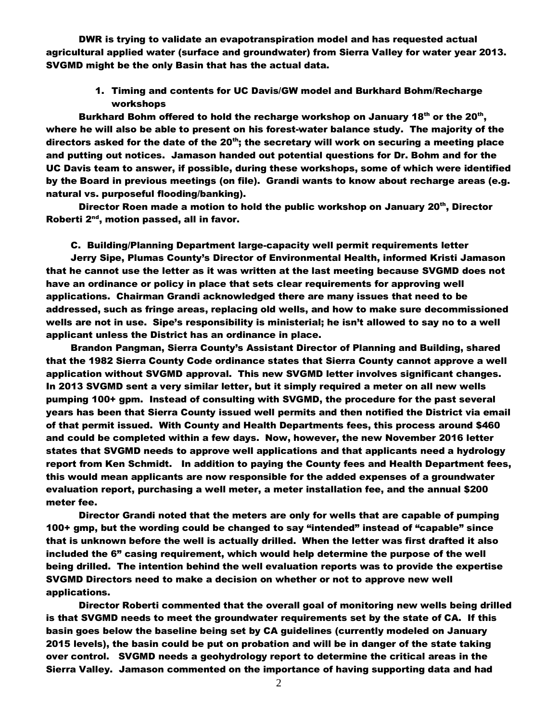DWR is trying to validate an evapotranspiration model and has requested actual agricultural applied water (surface and groundwater) from Sierra Valley for water year 2013. SVGMD might be the only Basin that has the actual data.

1. Timing and contents for UC Davis/GW model and Burkhard Bohm/Recharge workshops

Burkhard Bohm offered to hold the recharge workshop on January 18<sup>th</sup> or the 20<sup>th</sup>, where he will also be able to present on his forest-water balance study. The majority of the directors asked for the date of the  $20<sup>th</sup>$ ; the secretary will work on securing a meeting place and putting out notices. Jamason handed out potential questions for Dr. Bohm and for the UC Davis team to answer, if possible, during these workshops, some of which were identified by the Board in previous meetings (on file). Grandi wants to know about recharge areas (e.g. natural vs. purposeful flooding/banking).

Director Roen made a motion to hold the public workshop on January 20<sup>th</sup>, Director Roberti 2<sup>nd</sup>, motion passed, all in favor.

C. Building/Planning Department large-capacity well permit requirements letter

Jerry Sipe, Plumas County's Director of Environmental Health, informed Kristi Jamason that he cannot use the letter as it was written at the last meeting because SVGMD does not have an ordinance or policy in place that sets clear requirements for approving well applications. Chairman Grandi acknowledged there are many issues that need to be addressed, such as fringe areas, replacing old wells, and how to make sure decommissioned wells are not in use. Sipe's responsibility is ministerial; he isn't allowed to say no to a well applicant unless the District has an ordinance in place.

Brandon Pangman, Sierra County's Assistant Director of Planning and Building, shared that the 1982 Sierra County Code ordinance states that Sierra County cannot approve a well application without SVGMD approval. This new SVGMD letter involves significant changes. In 2013 SVGMD sent a very similar letter, but it simply required a meter on all new wells pumping 100+ gpm. Instead of consulting with SVGMD, the procedure for the past several years has been that Sierra County issued well permits and then notified the District via email of that permit issued. With County and Health Departments fees, this process around \$460 and could be completed within a few days. Now, however, the new November 2016 letter states that SVGMD needs to approve well applications and that applicants need a hydrology report from Ken Schmidt. In addition to paying the County fees and Health Department fees, this would mean applicants are now responsible for the added expenses of a groundwater evaluation report, purchasing a well meter, a meter installation fee, and the annual \$200 meter fee.

Director Grandi noted that the meters are only for wells that are capable of pumping 100+ gmp, but the wording could be changed to say "intended" instead of "capable" since that is unknown before the well is actually drilled. When the letter was first drafted it also included the 6" casing requirement, which would help determine the purpose of the well being drilled. The intention behind the well evaluation reports was to provide the expertise SVGMD Directors need to make a decision on whether or not to approve new well applications.

Director Roberti commented that the overall goal of monitoring new wells being drilled is that SVGMD needs to meet the groundwater requirements set by the state of CA. If this basin goes below the baseline being set by CA guidelines (currently modeled on January 2015 levels), the basin could be put on probation and will be in danger of the state taking over control. SVGMD needs a geohydrology report to determine the critical areas in the Sierra Valley. Jamason commented on the importance of having supporting data and had

2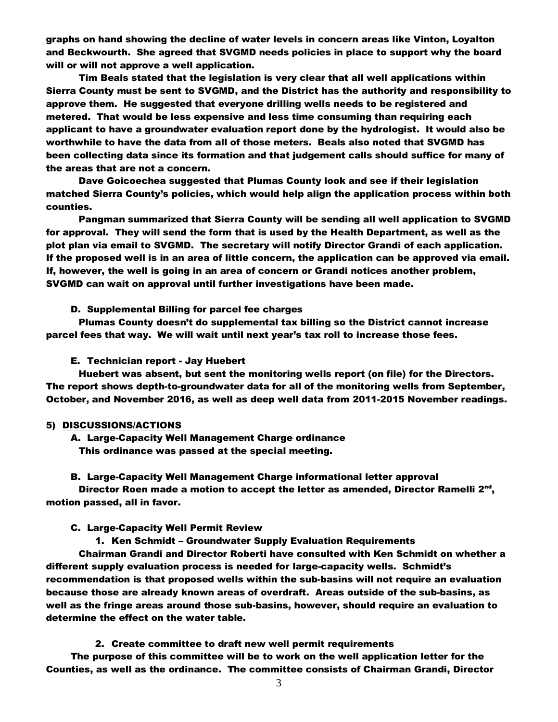graphs on hand showing the decline of water levels in concern areas like Vinton, Loyalton and Beckwourth. She agreed that SVGMD needs policies in place to support why the board will or will not approve a well application.

Tim Beals stated that the legislation is very clear that all well applications within Sierra County must be sent to SVGMD, and the District has the authority and responsibility to approve them. He suggested that everyone drilling wells needs to be registered and metered. That would be less expensive and less time consuming than requiring each applicant to have a groundwater evaluation report done by the hydrologist. It would also be worthwhile to have the data from all of those meters. Beals also noted that SVGMD has been collecting data since its formation and that judgement calls should suffice for many of the areas that are not a concern.

Dave Goicoechea suggested that Plumas County look and see if their legislation matched Sierra County's policies, which would help align the application process within both counties.

Pangman summarized that Sierra County will be sending all well application to SVGMD for approval. They will send the form that is used by the Health Department, as well as the plot plan via email to SVGMD. The secretary will notify Director Grandi of each application. If the proposed well is in an area of little concern, the application can be approved via email. If, however, the well is going in an area of concern or Grandi notices another problem, SVGMD can wait on approval until further investigations have been made.

D. Supplemental Billing for parcel fee charges

Plumas County doesn't do supplemental tax billing so the District cannot increase parcel fees that way. We will wait until next year's tax roll to increase those fees.

### E. Technician report - Jay Huebert

Huebert was absent, but sent the monitoring wells report (on file) for the Directors. The report shows depth-to-groundwater data for all of the monitoring wells from September, October, and November 2016, as well as deep well data from 2011-2015 November readings.

#### 5) DISCUSSIONS/ACTIONS

A. Large-Capacity Well Management Charge ordinance This ordinance was passed at the special meeting.

### B. Large-Capacity Well Management Charge informational letter approval

Director Roen made a motion to accept the letter as amended, Director Ramelli  $2^{nd}$ , motion passed, all in favor.

#### C. Large-Capacity Well Permit Review

1. Ken Schmidt – Groundwater Supply Evaluation Requirements

Chairman Grandi and Director Roberti have consulted with Ken Schmidt on whether a different supply evaluation process is needed for large-capacity wells. Schmidt's recommendation is that proposed wells within the sub-basins will not require an evaluation because those are already known areas of overdraft. Areas outside of the sub-basins, as well as the fringe areas around those sub-basins, however, should require an evaluation to determine the effect on the water table.

2. Create committee to draft new well permit requirements

The purpose of this committee will be to work on the well application letter for the Counties, as well as the ordinance. The committee consists of Chairman Grandi, Director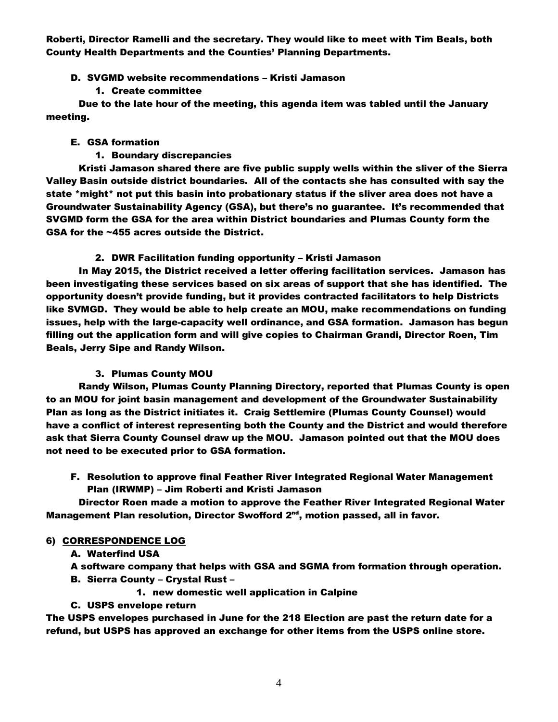Roberti, Director Ramelli and the secretary. They would like to meet with Tim Beals, both County Health Departments and the Counties' Planning Departments.

## D. SVGMD website recommendations – Kristi Jamason

### 1. Create committee

Due to the late hour of the meeting, this agenda item was tabled until the January meeting.

## E. GSA formation

1. Boundary discrepancies

Kristi Jamason shared there are five public supply wells within the sliver of the Sierra Valley Basin outside district boundaries. All of the contacts she has consulted with say the state \*might\* not put this basin into probationary status if the sliver area does not have a Groundwater Sustainability Agency (GSA), but there's no guarantee. It's recommended that SVGMD form the GSA for the area within District boundaries and Plumas County form the GSA for the ~455 acres outside the District.

# 2. DWR Facilitation funding opportunity – Kristi Jamason

In May 2015, the District received a letter offering facilitation services. Jamason has been investigating these services based on six areas of support that she has identified. The opportunity doesn't provide funding, but it provides contracted facilitators to help Districts like SVMGD. They would be able to help create an MOU, make recommendations on funding issues, help with the large-capacity well ordinance, and GSA formation. Jamason has begun filling out the application form and will give copies to Chairman Grandi, Director Roen, Tim Beals, Jerry Sipe and Randy Wilson.

# 3. Plumas County MOU

Randy Wilson, Plumas County Planning Directory, reported that Plumas County is open to an MOU for joint basin management and development of the Groundwater Sustainability Plan as long as the District initiates it. Craig Settlemire (Plumas County Counsel) would have a conflict of interest representing both the County and the District and would therefore ask that Sierra County Counsel draw up the MOU. Jamason pointed out that the MOU does not need to be executed prior to GSA formation.

F. Resolution to approve final Feather River Integrated Regional Water Management Plan (IRWMP) – Jim Roberti and Kristi Jamason

Director Roen made a motion to approve the Feather River Integrated Regional Water Management Plan resolution, Director Swofford 2<sup>nd</sup>, motion passed, all in favor.

# 6) CORRESPONDENCE LOG

# A. Waterfind USA

A software company that helps with GSA and SGMA from formation through operation.

- B. Sierra County Crystal Rust
	- 1. new domestic well application in Calpine

### C. USPS envelope return

The USPS envelopes purchased in June for the 218 Election are past the return date for a refund, but USPS has approved an exchange for other items from the USPS online store.